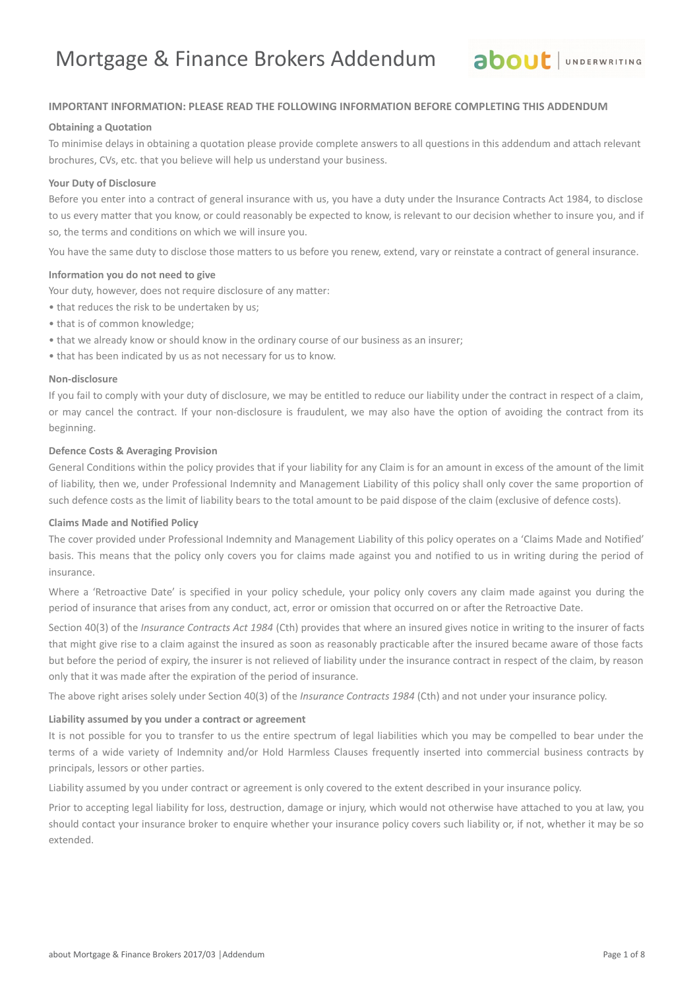### **IMPORTANT INFORMATION: PLEASE READ THE FOLLOWING INFORMATION BEFORE COMPLETING THIS ADDENDUM**

### **Obtaining a Quotation**

To minimise delays in obtaining a quotation please provide complete answers to all questions in this addendum and attach relevant brochures, CVs, etc. that you believe will help us understand your business.

### **Your Duty of Disclosure**

Before you enter into a contract of general insurance with us, you have a duty under the Insurance Contracts Act 1984, to disclose to us every matter that you know, or could reasonably be expected to know, is relevant to our decision whether to insure you, and if so, the terms and conditions on which we will insure you.

You have the same duty to disclose those matters to us before you renew, extend, vary or reinstate a contract of general insurance.

#### **Information you do not need to give**

Your duty, however, does not require disclosure of any matter:

- that reduces the risk to be undertaken by us;
- that is of common knowledge;
- that we already know or should know in the ordinary course of our business as an insurer;
- that has been indicated by us as not necessary for us to know.

### **Non-disclosure**

If you fail to comply with your duty of disclosure, we may be entitled to reduce our liability under the contract in respect of a claim, or may cancel the contract. If your non-disclosure is fraudulent, we may also have the option of avoiding the contract from its beginning.

#### **Defence Costs & Averaging Provision**

General Conditions within the policy provides that if your liability for any Claim is for an amount in excess of the amount of the limit of liability, then we, under Professional Indemnity and Management Liability of this policy shall only cover the same proportion of such defence costs as the limit of liability bears to the total amount to be paid dispose of the claim (exclusive of defence costs).

### **Claims Made and Notified Policy**

The cover provided under Professional Indemnity and Management Liability of this policy operates on a 'Claims Made and Notified' basis. This means that the policy only covers you for claims made against you and notified to us in writing during the period of insurance.

Where a 'Retroactive Date' is specified in your policy schedule, your policy only covers any claim made against you during the period of insurance that arises from any conduct, act, error or omission that occurred on or after the Retroactive Date.

Section 40(3) of the *Insurance Contracts Act 1984* (Cth) provides that where an insured gives notice in writing to the insurer of facts that might give rise to a claim against the insured as soon as reasonably practicable after the insured became aware of those facts but before the period of expiry, the insurer is not relieved of liability under the insurance contract in respect of the claim, by reason only that it was made after the expiration of the period of insurance.

The above right arises solely under Section 40(3) of the *Insurance Contracts 1984* (Cth) and not under your insurance policy.

#### **Liability assumed by you under a contract or agreement**

It is not possible for you to transfer to us the entire spectrum of legal liabilities which you may be compelled to bear under the terms of a wide variety of Indemnity and/or Hold Harmless Clauses frequently inserted into commercial business contracts by principals, lessors or other parties.

Liability assumed by you under contract or agreement is only covered to the extent described in your insurance policy.

Prior to accepting legal liability for loss, destruction, damage or injury, which would not otherwise have attached to you at law, you should contact your insurance broker to enquire whether your insurance policy covers such liability or, if not, whether it may be so extended.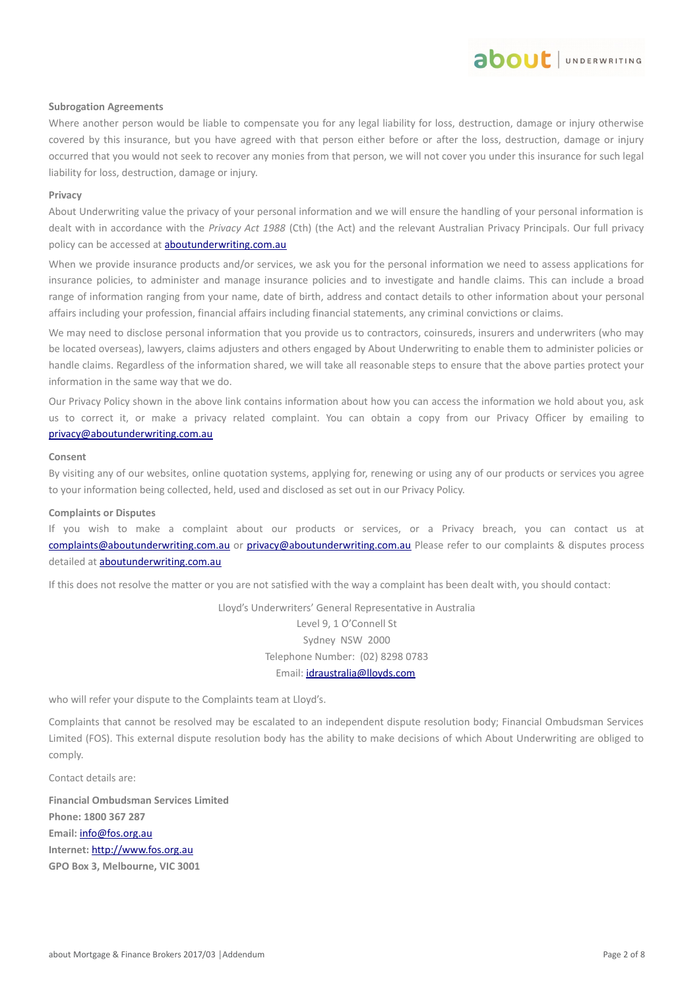### **Subrogation Agreements**

Where another person would be liable to compensate you for any legal liability for loss, destruction, damage or injury otherwise covered by this insurance, but you have agreed with that person either before or after the loss, destruction, damage or injury occurred that you would not seek to recover any monies from that person, we will not cover you under this insurance for such legal liability for loss, destruction, damage or injury.

about JUNDERWRITING

#### **Privacy**

About Underwriting value the privacy of your personal information and we will ensure the handling of your personal information is dealt with in accordance with the *Privacy Act 1988* (Cth) (the Act) and the relevant Australian Privacy Principals. Our full privacy policy can be accessed at **aboutunderwriting.com.au** 

When we provide insurance products and/or services, we ask you for the personal information we need to assess applications for insurance policies, to administer and manage insurance policies and to investigate and handle claims. This can include a broad range of information ranging from your name, date of birth, address and contact details to other information about your personal affairs including your profession, financial affairs including financial statements, any criminal convictions or claims.

We may need to disclose personal information that you provide us to contractors, coinsureds, insurers and underwriters (who may be located overseas), lawyers, claims adjusters and others engaged by About Underwriting to enable them to administer policies or handle claims. Regardless of the information shared, we will take all reasonable steps to ensure that the above parties protect your information in the same way that we do.

Our Privacy Policy shown in the above link contains information about how you can access the information we hold about you, ask us to correct it, or make a privacy related complaint. You can obtain a copy from our Privacy Officer by emailing to [privacy@aboutunderwriting.com.au](mailto:privacy@aboutunderwriting.com.au)

#### **Consent**

By visiting any of our websites, online quotation systems, applying for, renewing or using any of our products or services you agree to your information being collected, held, used and disclosed as set out in our Privacy Policy.

### **Complaints or Disputes**

If you wish to make a complaint about our products or services, or a Privacy breach, you can contact us at [complaints@aboutunderwriting.com.au](mailto:complaints@aboutunderwriting.com.au) or [privacy@aboutunderwriting.com.au](mailto:privacy@aboutunderwriting.com.au) Please refer to our complaints & disputes process detailed at **aboutunderwriting.com.au** 

If this does not resolve the matter or you are not satisfied with the way a complaint has been dealt with, you should contact:

Lloyd's Underwriters' General Representative in Australia Level 9, 1 O'Connell St Sydney NSW 2000 Telephone Number: (02) 8298 0783 Email: [idraustralia@lloyds.com](mailto:idraustralia@lloyds.com)

who will refer your dispute to the Complaints team at Lloyd's.

Complaints that cannot be resolved may be escalated to an independent dispute resolution body; Financial Ombudsman Services Limited (FOS). This external dispute resolution body has the ability to make decisions of which About Underwriting are obliged to comply.

Contact details are:

**Financial Ombudsman Services Limited Phone: 1800 367 287 Email:** [info@fos.org.au](mailto:info@fos.org.au) **Internet:** [http://www.fos.org.au](http://www.fos.org.au/) **GPO Box 3, Melbourne, VIC 3001**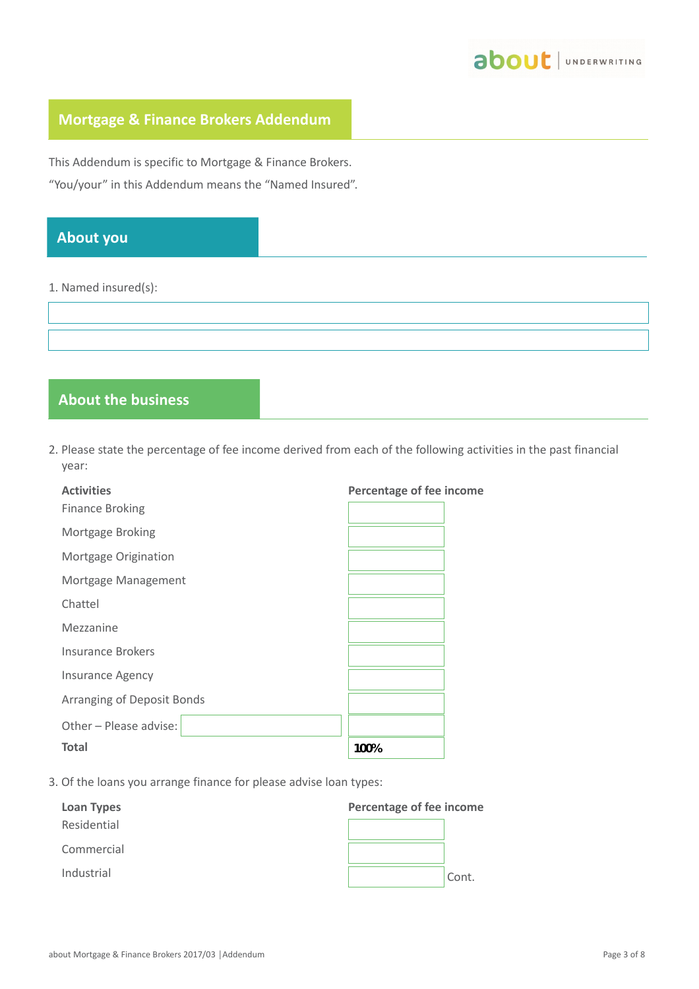

# **Mortgage & Finance Brokers Addendum**

This Addendum is specific to Mortgage & Finance Brokers. "You/your" in this Addendum means the "Named Insured".

# **About you**

### 1. Named insured(s):

# **About the business**

2. Please state the percentage of fee income derived from each of the following activities in the past financial year:

| <b>Activities</b>          | Percentage of fee income |
|----------------------------|--------------------------|
| <b>Finance Broking</b>     |                          |
| Mortgage Broking           |                          |
| Mortgage Origination       |                          |
| Mortgage Management        |                          |
| Chattel                    |                          |
| Mezzanine                  |                          |
| Insurance Brokers          |                          |
| <b>Insurance Agency</b>    |                          |
| Arranging of Deposit Bonds |                          |
| Other - Please advise:     |                          |
| <b>Total</b>               | 100%                     |

3. Of the loans you arrange finance for please advise loan types:

| Loan Types  | Percentage of fee income |       |  |
|-------------|--------------------------|-------|--|
| Residential |                          |       |  |
| Commercial  |                          |       |  |
| Industrial  |                          | Cont. |  |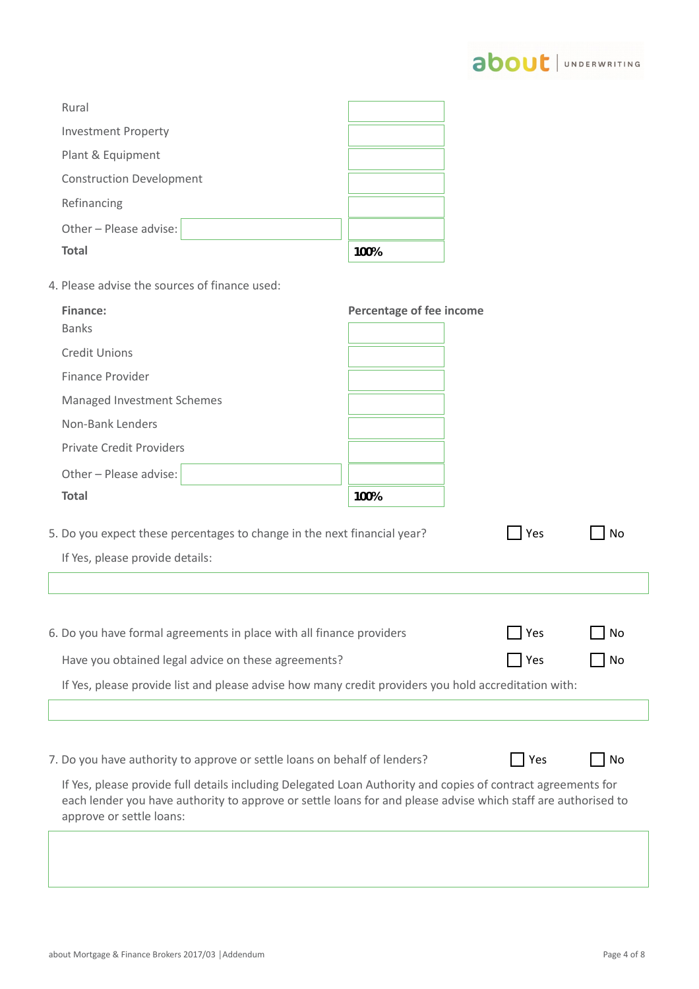

| Rural                           |      |  |
|---------------------------------|------|--|
| <b>Investment Property</b>      |      |  |
| Plant & Equipment               |      |  |
| <b>Construction Development</b> |      |  |
| Refinancing                     |      |  |
| Other - Please advise:          |      |  |
| <b>Total</b>                    | 100% |  |

4. Please advise the sources of finance used:

| Finance:                        | Percentage of fee income |
|---------------------------------|--------------------------|
| <b>Banks</b>                    |                          |
| <b>Credit Unions</b>            |                          |
| <b>Finance Provider</b>         |                          |
| Managed Investment Schemes      |                          |
| Non-Bank Lenders                |                          |
| <b>Private Credit Providers</b> |                          |
| Other - Please advise:          |                          |
| <b>Total</b>                    | 100%                     |
|                                 |                          |

| 5. Do you expect these percentages to change in the next financial year? | Yes | No |
|--------------------------------------------------------------------------|-----|----|
| If Yes, please provide details:                                          |     |    |
|                                                                          |     |    |

| 6. Do you have formal agreements in place with all finance providers                                 | $\Box$ Yes  | $\overline{\phantom{a}}$ No |
|------------------------------------------------------------------------------------------------------|-------------|-----------------------------|
| Have you obtained legal advice on these agreements?                                                  | $\vert$ Yes | $\Box$ No                   |
| If Yes, please provide list and please advise how many credit providers you hold accreditation with: |             |                             |

7. Do you have authority to approve or settle loans on behalf of lenders?

|--|--|--|

If Yes, please provide full details including Delegated Loan Authority and copies of contract agreements for each lender you have authority to approve or settle loans for and please advise which staff are authorised to approve or settle loans:

No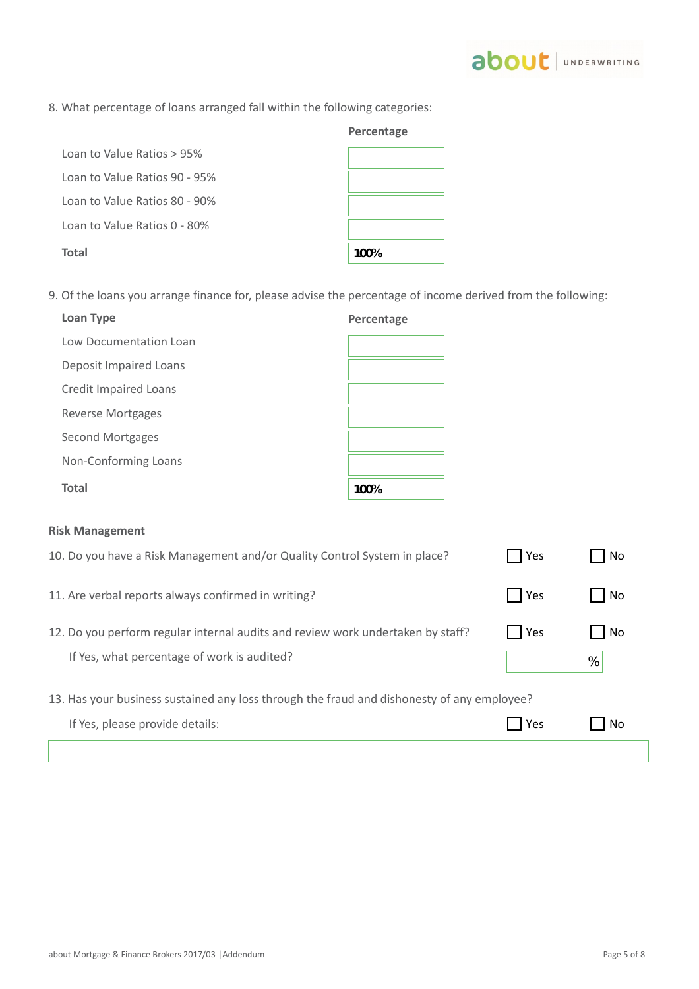# 8. What percentage of loans arranged fall within the following categories:

- Loan to Value Ratios > 95% Loan to Value Ratios 90 - 95% Loan to Value Ratios 80 - 90% Loan to Value Ratios 0 - 80% **Total**
- 9. Of the loans you arrange finance for, please advise the percentage of income derived from the following:

| <b>Loan Type</b>             | Percentage |
|------------------------------|------------|
| Low Documentation Loan       |            |
| Deposit Impaired Loans       |            |
| <b>Credit Impaired Loans</b> |            |
| Reverse Mortgages            |            |
| Second Mortgages             |            |
| Non-Conforming Loans         |            |
| <b>Total</b>                 | 100%       |

### **Risk Management**

| 10. Do you have a Risk Management and/or Quality Control System in place?                  | Yes   | No   |
|--------------------------------------------------------------------------------------------|-------|------|
| 11. Are verbal reports always confirmed in writing?                                        | Yes   | No   |
| 12. Do you perform regular internal audits and review work undertaken by staff?            | Yes   | l No |
| If Yes, what percentage of work is audited?                                                |       | %    |
| 13. Has your business sustained any loss through the fraud and dishonesty of any employee? |       |      |
| If Yes, please provide details:                                                            | l Yes | . No |
|                                                                                            |       |      |



**Percentage**

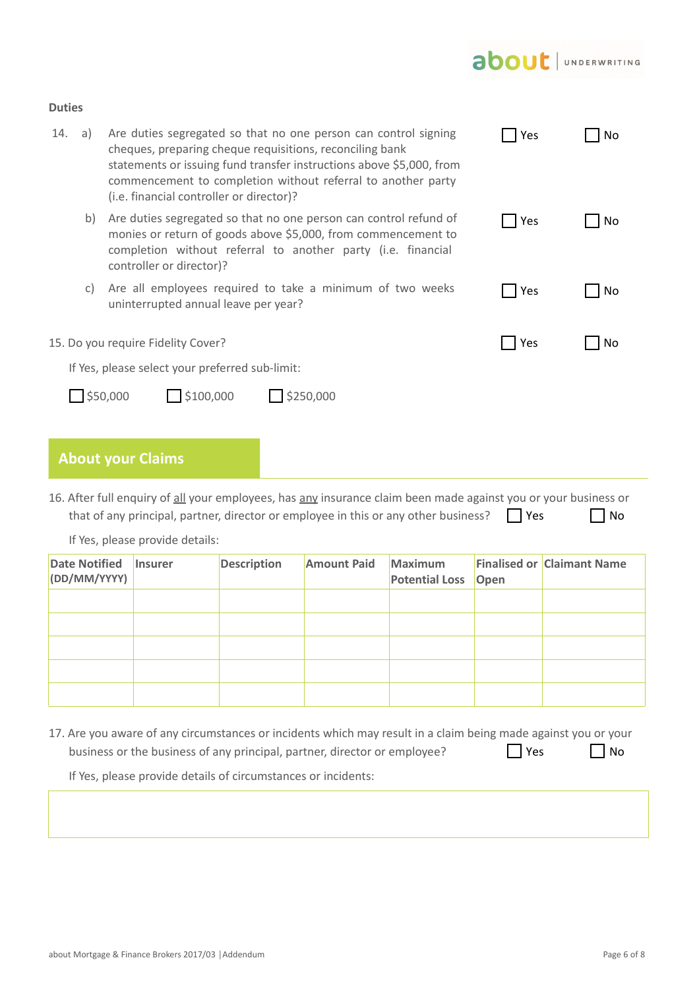# about JUNDERWRITING

### **Duties**

| 14. | a) | Are duties segregated so that no one person can control signing<br>cheques, preparing cheque requisitions, reconciling bank<br>statements or issuing fund transfer instructions above \$5,000, from<br>commencement to completion without referral to another party<br>(i.e. financial controller or director)? | Yes | No |
|-----|----|-----------------------------------------------------------------------------------------------------------------------------------------------------------------------------------------------------------------------------------------------------------------------------------------------------------------|-----|----|
|     | b) | Are duties segregated so that no one person can control refund of<br>monies or return of goods above \$5,000, from commencement to<br>completion without referral to another party (i.e. financial<br>controller or director)?                                                                                  | Yes | No |
|     | C) | Are all employees required to take a minimum of two weeks<br>uninterrupted annual leave per year?                                                                                                                                                                                                               | Yes | No |
|     |    | 15. Do you require Fidelity Cover?                                                                                                                                                                                                                                                                              | Yes | No |
|     |    | If Yes, please select your preferred sub-limit:                                                                                                                                                                                                                                                                 |     |    |
|     |    | \$50,000<br>\$100,000<br>\$250,000                                                                                                                                                                                                                                                                              |     |    |

# **About your Claims**

16. After full enquiry of all your employees, has any insurance claim been made against you or your business or that of any principal, partner, director or employee in this or any other business?  $\Box$  Yes  $\Box$  No

If Yes, please provide details:

| <b>Date Notified</b><br>(DD/MM/YYYY) | <b>Insurer</b> | <b>Description</b> | <b>Amount Paid</b> | <b>Maximum</b><br><b>Potential Loss Open</b> | <b>Finalised or Claimant Name</b> |
|--------------------------------------|----------------|--------------------|--------------------|----------------------------------------------|-----------------------------------|
|                                      |                |                    |                    |                                              |                                   |
|                                      |                |                    |                    |                                              |                                   |
|                                      |                |                    |                    |                                              |                                   |
|                                      |                |                    |                    |                                              |                                   |
|                                      |                |                    |                    |                                              |                                   |

17. Are you aware of any circumstances or incidents which may result in a claim being made against you or your business or the business of any principal, partner, director or employee?  $\Box$  Yes  $\Box$  No

If Yes, please provide details of circumstances or incidents: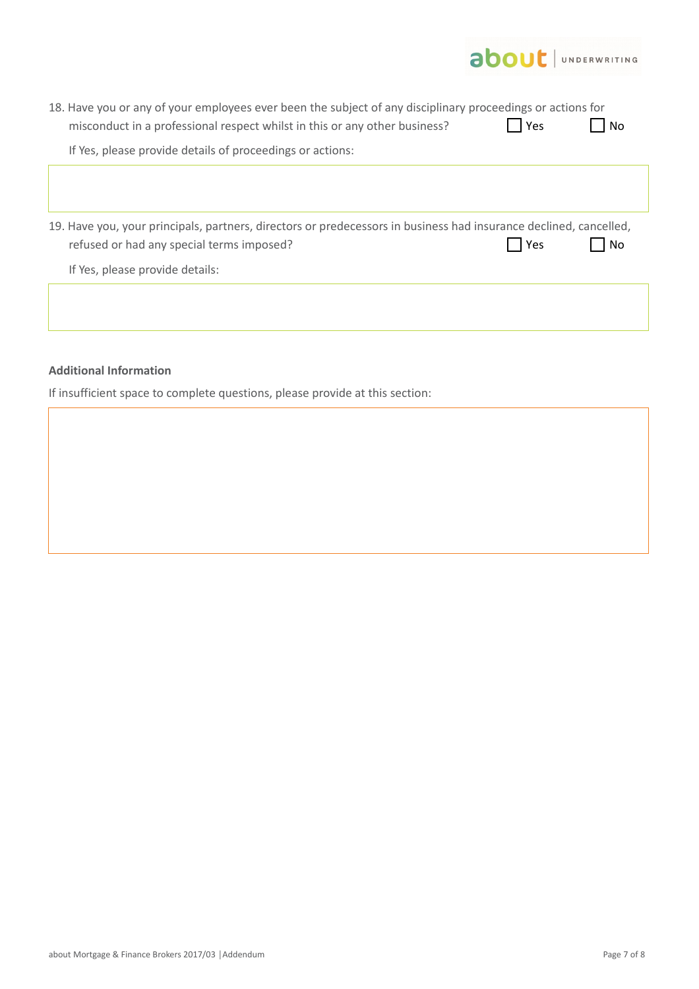|                                                                                                                                                                                                                                                       | <b>about</b> UNDERWRITING |
|-------------------------------------------------------------------------------------------------------------------------------------------------------------------------------------------------------------------------------------------------------|---------------------------|
| 18. Have you or any of your employees ever been the subject of any disciplinary proceedings or actions for<br>misconduct in a professional respect whilst in this or any other business?<br>If Yes, please provide details of proceedings or actions: | Yes<br><b>No</b>          |
|                                                                                                                                                                                                                                                       |                           |
|                                                                                                                                                                                                                                                       |                           |
| 19. Have you, your principals, partners, directors or predecessors in business had insurance declined, cancelled,<br>refused or had any special terms imposed?<br>If Yes, please provide details:                                                     | Yes<br><b>No</b>          |
|                                                                                                                                                                                                                                                       |                           |

## **Additional Information**

If insufficient space to complete questions, please provide at this section: